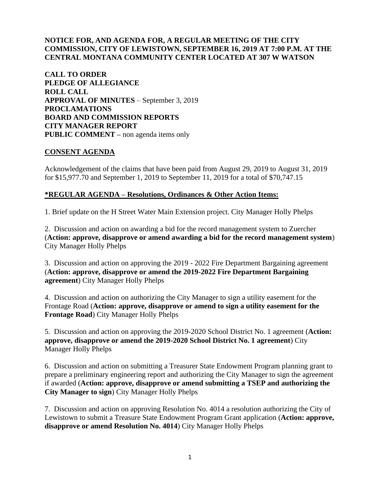## **NOTICE FOR, AND AGENDA FOR, A REGULAR MEETING OF THE CITY COMMISSION, CITY OF LEWISTOWN, SEPTEMBER 16, 2019 AT 7:00 P.M. AT THE CENTRAL MONTANA COMMUNITY CENTER LOCATED AT 307 W WATSON**

**CALL TO ORDER PLEDGE OF ALLEGIANCE ROLL CALL APPROVAL OF MINUTES** – September 3, 2019 **PROCLAMATIONS BOARD AND COMMISSION REPORTS CITY MANAGER REPORT PUBLIC COMMENT –** non agenda items only

### **CONSENT AGENDA**

Acknowledgement of the claims that have been paid from August 29, 2019 to August 31, 2019 for \$15,977.70 and September 1, 2019 to September 11, 2019 for a total of \$70,747.15

### **\*REGULAR AGENDA – Resolutions, Ordinances & Other Action Items:**

1. Brief update on the H Street Water Main Extension project. City Manager Holly Phelps

2. Discussion and action on awarding a bid for the record management system to Zuercher (**Action: approve, disapprove or amend awarding a bid for the record management system**) City Manager Holly Phelps

3. Discussion and action on approving the 2019 - 2022 Fire Department Bargaining agreement (**Action: approve, disapprove or amend the 2019-2022 Fire Department Bargaining agreement**) City Manager Holly Phelps

4. Discussion and action on authorizing the City Manager to sign a utility easement for the Frontage Road (**Action: approve, disapprove or amend to sign a utility easement for the Frontage Road**) City Manager Holly Phelps

5. Discussion and action on approving the 2019-2020 School District No. 1 agreement (**Action: approve, disapprove or amend the 2019-2020 School District No. 1 agreement**) City Manager Holly Phelps

6. Discussion and action on submitting a Treasurer State Endowment Program planning grant to prepare a preliminary engineering report and authorizing the City Manager to sign the agreement if awarded (**Action: approve, disapprove or amend submitting a TSEP and authorizing the City Manager to sign**) City Manager Holly Phelps

7. Discussion and action on approving Resolution No. 4014 a resolution authorizing the City of Lewistown to submit a Treasure State Endowment Program Grant application (**Action: approve, disapprove or amend Resolution No. 4014**) City Manager Holly Phelps